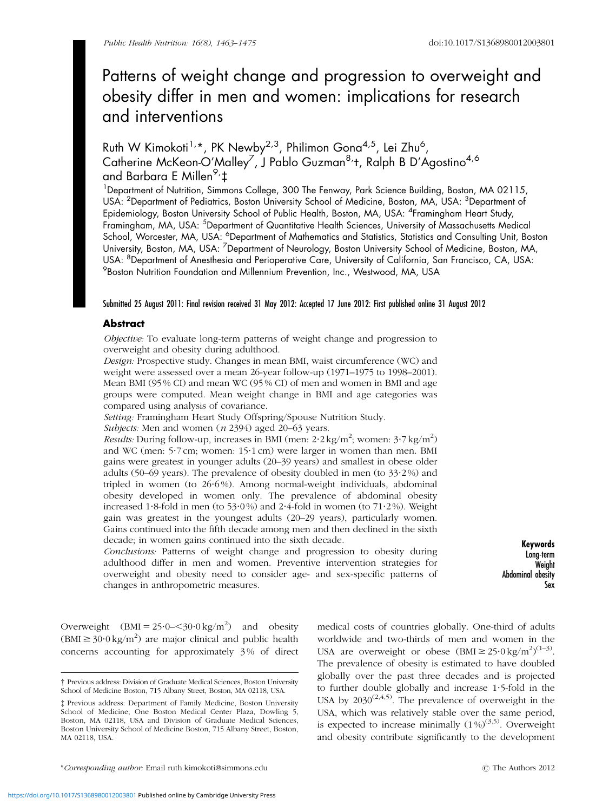# Patterns of weight change and progression to overweight and obesity differ in men and women: implications for research and interventions

Ruth W Kimokoti<sup>1,</sup>\*, PK Newby<sup>2,3</sup>, Philimon Gona<sup>4,5</sup>, Lei Zhu<sup>6</sup>, Catherine McKeon-O'Malley<sup>7</sup>, J Pablo Guzman<sup>8,</sup>t, Ralph B D'Agostino<sup>4,6</sup> and Barbara E Millen<sup>9</sup>;‡

<sup>1</sup>Department of Nutrition, Simmons College, 300 The Fenway, Park Science Building, Boston, MA 02115, USA: <sup>2</sup>Department of Pediatrics, Boston University School of Medicine, Boston, MA, USA: <sup>3</sup>Department of Epidemiology, Boston University School of Public Health, Boston, MA, USA: <sup>4</sup>Framingham Heart Study, Framingham, MA, USA: <sup>5</sup>Department of Quantitative Health Sciences, University of Massachusetts Medical School, Worcester, MA, USA: <sup>6</sup>Department of Mathematics and Statistics, Statistics and Consulting Unit, Boston University, Boston, MA, USA: <sup>7</sup>Department of Neurology, Boston University School of Medicine, Boston, MA, USA: <sup>8</sup>Department of Anesthesia and Perioperative Care, University of California, San Francisco, CA, USA:  $^9$ Boston Nutrition Foundation and Millennium Prevention, Inc., Westwood, MA, USA

# Submitted 25 August 2011: Final revision received 31 May 2012: Accepted 17 June 2012: First published online 31 August 2012

### Abstract

Objective: To evaluate long-term patterns of weight change and progression to overweight and obesity during adulthood.

Design: Prospective study. Changes in mean BMI, waist circumference (WC) and weight were assessed over a mean 26-year follow-up (1971–1975 to 1998–2001). Mean BMI (95 % CI) and mean WC (95 % CI) of men and women in BMI and age groups were computed. Mean weight change in BMI and age categories was compared using analysis of covariance.

Setting: Framingham Heart Study Offspring/Spouse Nutrition Study.

Subjects: Men and women  $(n 2394)$  aged 20–63 years.

Results: During follow-up, increases in BMI (men:  $2.2 \text{ kg/m}^2$ ; women:  $3.7 \text{ kg/m}^2$ ) and WC (men:  $5.7 \text{ cm}$ ; women:  $15.1 \text{ cm}$ ) were larger in women than men. BMI gains were greatest in younger adults (20–39 years) and smallest in obese older adults (50–69 years). The prevalence of obesity doubled in men (to  $33.2\%$ ) and tripled in women (to  $26.6\%$ ). Among normal-weight individuals, abdominal obesity developed in women only. The prevalence of abdominal obesity increased 1.8-fold in men (to 53.0%) and 2.4-fold in women (to 71.2%). Weight gain was greatest in the youngest adults (20–29 years), particularly women. Gains continued into the fifth decade among men and then declined in the sixth decade; in women gains continued into the sixth decade.

Conclusions: Patterns of weight change and progression to obesity during adulthood differ in men and women. Preventive intervention strategies for overweight and obesity need to consider age- and sex-specific patterns of changes in anthropometric measures.

Keywords Long-term Weight Abdominal obesity Sex

Overweight  $(BMI = 25.0 - \leq 30.0 \text{ kg/m}^2)$  and obesity  $(BMI \ge 30.0 \text{ kg/m}^2)$  are major clinical and public health concerns accounting for approximately 3 % of direct

medical costs of countries globally. One-third of adults worldwide and two-thirds of men and women in the USA are overweight or obese  $(BMI \ge 25.0 \text{ kg/m}^2)^{(1-3)}$ . The prevalence of obesity is estimated to have doubled globally over the past three decades and is projected to further double globally and increase 1?5-fold in the USA by  $2030^{(2,4,5)}$  $2030^{(2,4,5)}$  $2030^{(2,4,5)}$ . The prevalence of overweight in the USA, which was relatively stable over the same period, is expected to increase minimally  $(1\%)^{(3,5)}$  $(1\%)^{(3,5)}$  $(1\%)^{(3,5)}$ . Overweight and obesity contribute significantly to the development

y Previous address: Division of Graduate Medical Sciences, Boston University School of Medicine Boston, 715 Albany Street, Boston, MA 02118, USA.

z Previous address: Department of Family Medicine, Boston University School of Medicine, One Boston Medical Center Plaza, Dowling 5, Boston, MA 02118, USA and Division of Graduate Medical Sciences, Boston University School of Medicine Boston, 715 Albany Street, Boston, MA 02118, USA.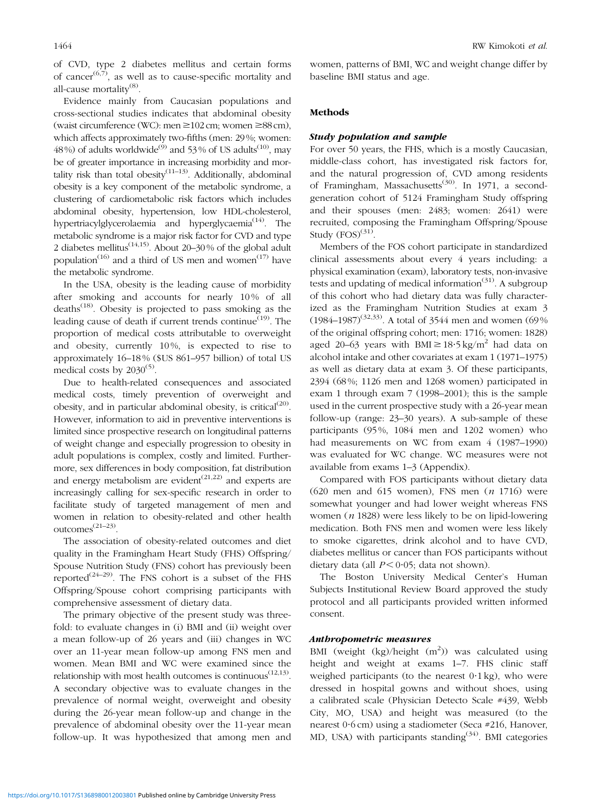of CVD, type 2 diabetes mellitus and certain forms of cancer<sup> $(6,7)$  $(6,7)$ </sup>, as well as to cause-specific mortality and all-cause mortality<sup>[\(8\)](#page-10-0)</sup>.

Evidence mainly from Caucasian populations and cross-sectional studies indicates that abdominal obesity (waist circumference (WC): men  $\geq$ 102 cm; women  $\geq$ 88 cm), which affects approximately two-fifths (men: 29%; women: 48%) of adults worldwide<sup>[\(9\)](#page-10-0)</sup> and 53% of US adults<sup>[\(10\)](#page-10-0)</sup>, may be of greater importance in increasing morbidity and mortality risk than total obesity $(11-13)$  $(11-13)$  $(11-13)$  $(11-13)$ . Additionally, abdominal obesity is a key component of the metabolic syndrome, a clustering of cardiometabolic risk factors which includes abdominal obesity, hypertension, low HDL-cholesterol, hypertriacylglycerolaemia and hyperglycaemia<sup> $(14)$  $(14)$ </sup>. The metabolic syndrome is a major risk factor for CVD and type 2 diabetes mellitus<sup> $(14,15)$  $(14,15)$ </sup>. About 20–30% of the global adult population<sup>([16](#page-10-0))</sup> and a third of US men and women<sup>([17](#page-10-0))</sup> have the metabolic syndrome.

In the USA, obesity is the leading cause of morbidity after smoking and accounts for nearly 10 % of all deaths<sup> $(18)$  $(18)$ </sup>. Obesity is projected to pass smoking as the leading cause of death if current trends continue<sup> $(19)$  $(19)$ </sup>. The proportion of medical costs attributable to overweight and obesity, currently 10 %, is expected to rise to approximately 16–18 % (\$US 861–957 billion) of total US medical costs by  $2030^{(5)}$  $2030^{(5)}$  $2030^{(5)}$ .

Due to health-related consequences and associated medical costs, timely prevention of overweight and obesity, and in particular abdominal obesity, is critical<sup>[\(20\)](#page-10-0)</sup>. However, information to aid in preventive interventions is limited since prospective research on longitudinal patterns of weight change and especially progression to obesity in adult populations is complex, costly and limited. Furthermore, sex differences in body composition, fat distribution and energy metabolism are evident<sup> $(21,22)$ </sup> and experts are increasingly calling for sex-specific research in order to facilitate study of targeted management of men and women in relation to obesity-related and other health outcomes[\(21](#page-10-0)–[23\)](#page-10-0).

The association of obesity-related outcomes and diet quality in the Framingham Heart Study (FHS) Offspring/ Spouse Nutrition Study (FNS) cohort has previously been reported<sup> $(24-29)$  $(24-29)$  $(24-29)$ </sup>. The FNS cohort is a subset of the FHS Offspring/Spouse cohort comprising participants with comprehensive assessment of dietary data.

The primary objective of the present study was threefold: to evaluate changes in (i) BMI and (ii) weight over a mean follow-up of 26 years and (iii) changes in WC over an 11-year mean follow-up among FNS men and women. Mean BMI and WC were examined since the relationship with most health outcomes is continuous $(12,13)$  $(12,13)$ . A secondary objective was to evaluate changes in the prevalence of normal weight, overweight and obesity during the 26-year mean follow-up and change in the prevalence of abdominal obesity over the 11-year mean follow-up. It was hypothesized that among men and

women, patterns of BMI, WC and weight change differ by baseline BMI status and age.

#### Methods

# Study population and sample

For over 50 years, the FHS, which is a mostly Caucasian, middle-class cohort, has investigated risk factors for, and the natural progression of, CVD among residents of Framingham, Massachusetts<sup>[\(30](#page-11-0))</sup>. In 1971, a secondgeneration cohort of 5124 Framingham Study offspring and their spouses (men: 2483; women: 2641) were recruited, composing the Framingham Offspring/Spouse Study  $(FOS)^{(31)}$  $(FOS)^{(31)}$  $(FOS)^{(31)}$ .

Members of the FOS cohort participate in standardized clinical assessments about every 4 years including: a physical examination (exam), laboratory tests, non-invasive tests and updating of medical information $(31)$  $(31)$  $(31)$ . A subgroup of this cohort who had dietary data was fully characterized as the Framingham Nutrition Studies at exam 3  $(1984–1987)^{(32,33)}$  $(1984–1987)^{(32,33)}$  $(1984–1987)^{(32,33)}$ . A total of 3544 men and women (69%) of the original offspring cohort; men: 1716; women: 1828) aged 20–63 years with BMI  $\geq$  18.5 kg/m<sup>2</sup> had data on alcohol intake and other covariates at exam 1 (1971–1975) as well as dietary data at exam 3. Of these participants, 2394 (68 %; 1126 men and 1268 women) participated in exam 1 through exam 7 (1998–2001); this is the sample used in the current prospective study with a 26-year mean follow-up (range: 23–30 years). A sub-sample of these participants (95 %, 1084 men and 1202 women) who had measurements on WC from exam 4 (1987–1990) was evaluated for WC change. WC measures were not available from exams 1–3 (Appendix).

Compared with FOS participants without dietary data (620 men and 615 women), FNS men  $(n 1716)$  were somewhat younger and had lower weight whereas FNS women ( $n$  1828) were less likely to be on lipid-lowering medication. Both FNS men and women were less likely to smoke cigarettes, drink alcohol and to have CVD, diabetes mellitus or cancer than FOS participants without dietary data (all  $P < 0.05$ ; data not shown).

The Boston University Medical Center's Human Subjects Institutional Review Board approved the study protocol and all participants provided written informed consent.

#### Anthropometric measures

BMI (weight  $(kg)/height$   $(m<sup>2</sup>)$ ) was calculated using height and weight at exams 1–7. FHS clinic staff weighed participants (to the nearest  $0.1 \text{ kg}$ ), who were dressed in hospital gowns and without shoes, using a calibrated scale (Physician Detecto Scale #439, Webb City, MO, USA) and height was measured (to the nearest 0.6 cm) using a stadiometer (Seca #216, Hanover, MD, USA) with participants standing[\(34\)](#page-11-0). BMI categories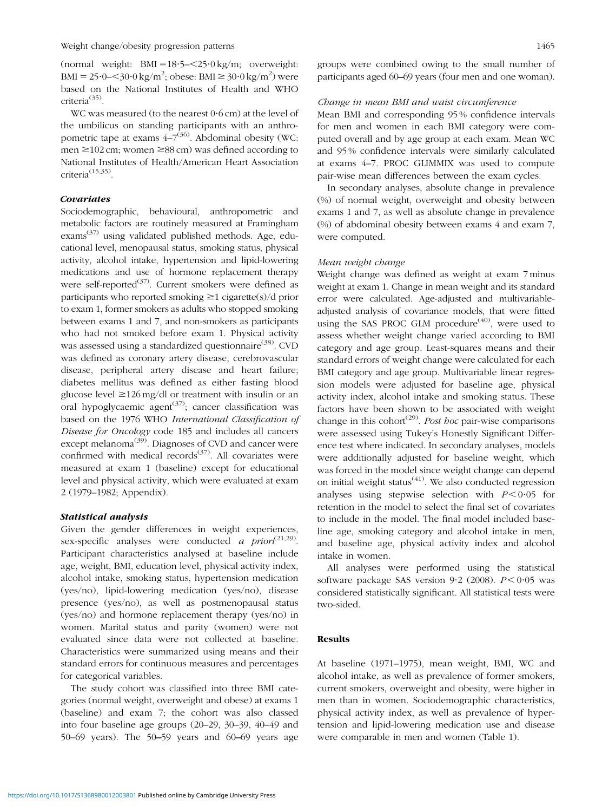(normal weight:  $BMI = 18.5 - \langle 25.0 \text{ kg/m}$ ; overweight: BMI =  $25.0 - \leq 30.0 \text{ kg/m}^2$ ; obese: BMI  $\geq 30.0 \text{ kg/m}^2$ ) were based on the National Institutes of Health and WHO criteria([35\)](#page-11-0).

WC was measured (to the nearest  $0.6$  cm) at the level of the umbilicus on standing participants with an anthropometric tape at exams  $4-\overline{7}^{(36)}$  $4-\overline{7}^{(36)}$  $4-\overline{7}^{(36)}$ . Abdominal obesity (WC: men  $\geq$ 102 cm; women  $\geq$ 88 cm) was defined according to National Institutes of Health/American Heart Association criteria([15,](#page-10-0)[35\)](#page-11-0).

# **Covariates**

Sociodemographic, behavioural, anthropometric and metabolic factors are routinely measured at Framingham exams<sup> $(37)$  $(37)$ </sup> using validated published methods. Age, educational level, menopausal status, smoking status, physical activity, alcohol intake, hypertension and lipid-lowering medications and use of hormone replacement therapy were self-reported<sup>([37\)](#page-11-0)</sup>. Current smokers were defined as participants who reported smoking  $\geq 1$  cigarette(s)/d prior to exam 1, former smokers as adults who stopped smoking between exams 1 and 7, and non-smokers as participants who had not smoked before exam 1. Physical activity was assessed using a standardized questionnaire<sup>[\(38](#page-11-0))</sup>. CVD was defined as coronary artery disease, cerebrovascular disease, peripheral artery disease and heart failure; diabetes mellitus was defined as either fasting blood glucose level  $\geq$ 126 mg/dl or treatment with insulin or an oral hypoglycaemic agent<sup>[\(37](#page-11-0))</sup>; cancer classification was based on the 1976 WHO International Classification of Disease for Oncology code 185 and includes all cancers except melanoma<sup>([39](#page-11-0))</sup>. Diagnoses of CVD and cancer were confirmed with medical records $(37)$  $(37)$ . All covariates were measured at exam 1 (baseline) except for educational level and physical activity, which were evaluated at exam 2 (1979–1982; Appendix).

# Statistical analysis

Given the gender differences in weight experiences, sex-specific analyses were conducted a priori<sup>([21,](#page-10-0)[29\)](#page-11-0)</sup>. Participant characteristics analysed at baseline include age, weight, BMI, education level, physical activity index, alcohol intake, smoking status, hypertension medication (yes/no), lipid-lowering medication (yes/no), disease presence (yes/no), as well as postmenopausal status (yes/no) and hormone replacement therapy (yes/no) in women. Marital status and parity (women) were not evaluated since data were not collected at baseline. Characteristics were summarized using means and their standard errors for continuous measures and percentages for categorical variables.

The study cohort was classified into three BMI categories (normal weight, overweight and obese) at exams 1 (baseline) and exam 7; the cohort was also classed into four baseline age groups (20–29, 30–39, 40–49 and 50–69 years). The 50–59 years and 60–69 years age groups were combined owing to the small number of participants aged 60–69 years (four men and one woman).

#### Change in mean BMI and waist circumference

Mean BMI and corresponding 95 % confidence intervals for men and women in each BMI category were computed overall and by age group at each exam. Mean WC and 95 % confidence intervals were similarly calculated at exams 4–7. PROC GLIMMIX was used to compute pair-wise mean differences between the exam cycles.

In secondary analyses, absolute change in prevalence (%) of normal weight, overweight and obesity between exams 1 and 7, as well as absolute change in prevalence (%) of abdominal obesity between exams 4 and exam 7, were computed.

#### Mean weight change

Weight change was defined as weight at exam 7 minus weight at exam 1. Change in mean weight and its standard error were calculated. Age-adjusted and multivariableadjusted analysis of covariance models, that were fitted using the SAS PROC GLM procedure<sup> $(40)$  $(40)$ </sup>, were used to assess whether weight change varied according to BMI category and age group. Least-squares means and their standard errors of weight change were calculated for each BMI category and age group. Multivariable linear regression models were adjusted for baseline age, physical activity index, alcohol intake and smoking status. These factors have been shown to be associated with weight change in this cohort<sup> $(29)$ </sup>. Post hoc pair-wise comparisons were assessed using Tukey's Honestly Significant Difference test where indicated. In secondary analyses, models were additionally adjusted for baseline weight, which was forced in the model since weight change can depend on initial weight status<sup> $(41)$ </sup>. We also conducted regression analyses using stepwise selection with  $P < 0.05$  for retention in the model to select the final set of covariates to include in the model. The final model included baseline age, smoking category and alcohol intake in men, and baseline age, physical activity index and alcohol intake in women.

All analyses were performed using the statistical software package SAS version 9.2 (2008).  $P < 0.05$  was considered statistically significant. All statistical tests were two-sided.

## Results

At baseline (1971–1975), mean weight, BMI, WC and alcohol intake, as well as prevalence of former smokers, current smokers, overweight and obesity, were higher in men than in women. Sociodemographic characteristics, physical activity index, as well as prevalence of hypertension and lipid-lowering medication use and disease were comparable in men and women [\(Table 1](#page-3-0)).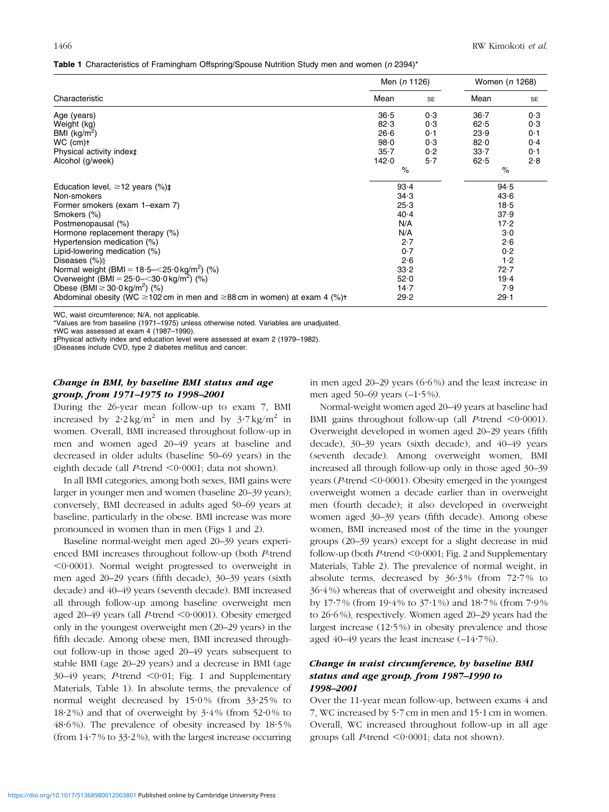#### <span id="page-3-0"></span>Table 1 Characteristics of Framingham Offspring/Spouse Nutrition Study men and women (n 2394)\*

|                                                                                      | Men $(n 1126)$ |           | Women (n 1268) |     |
|--------------------------------------------------------------------------------------|----------------|-----------|----------------|-----|
| Characteristic                                                                       | Mean           | <b>SE</b> | Mean           | SE  |
| Age (years)                                                                          | 36.5           | 0.3       | $36 - 7$       | 0.3 |
| Weight (kg)                                                                          | 82.3           | 0.3       | 62.5           | 0.3 |
| BMI $(kg/m^2)$                                                                       | 26.6           | 0·1       | 23.9           | 0·1 |
| $WC$ (cm) $+$                                                                        | 98.0           | 0.3       | 82.0           | 0.4 |
| Physical activity index‡                                                             | $35 - 7$       | 0.2       | 33.7           | 0·1 |
| Alcohol (g/week)                                                                     | 142.0          | $5-7$     | 62.5           | 2.8 |
|                                                                                      | $\%$           |           | $\%$           |     |
| Education level, $\geq$ 12 years (%) $\ddagger$                                      | 93.4           |           | 94.5           |     |
| Non-smokers                                                                          | 34.3           |           | 43.6           |     |
| Former smokers (exam 1–exam 7)                                                       | 25.3           |           | 18.5           |     |
| Smokers (%)                                                                          | 40.4           |           | 37.9           |     |
| Postmenopausal (%)                                                                   | N/A            |           | $17 - 2$       |     |
| Hormone replacement therapy (%)                                                      | N/A            |           | $3-0$          |     |
| Hypertension medication (%)                                                          | 2.7            |           | 2.6            |     |
| Lipid-lowering medication (%)                                                        | 0.7            |           | 0.2            |     |
| Diseases $(%)$                                                                       | 2.6            |           | 1.2            |     |
| Normal weight (BMI = $18.5 - \le 25.0 \text{ kg/m}^2$ ) (%)                          | 33.2           |           | 72.7           |     |
| Overweight (BMI = $25.0 - 30.0$ kg/m <sup>2</sup> ) (%)                              | 52.0           |           | 19.4           |     |
| Obese (BMI $\geq$ 30 $\cdot$ 0 kg/m <sup>2</sup> ) (%)                               | 14.7           |           | 7.9            |     |
| Abdominal obesity (WC $\geq$ 102 cm in men and $\geq$ 88 cm in women) at exam 4 (%)t | 29.2           |           | 29.1           |     |

WC, waist circumference: N/A, not applicable.

\*Values are from baseline (1971–1975) unless otherwise noted. Variables are unadjusted.

-WC was assessed at exam 4 (1987–1990).

- - Physical activity index and education level were assessed at exam 2 (1979–1982).

yDiseases include CVD, type 2 diabetes mellitus and cancer.

# Change in BMI, by baseline BMI status and age group, from 1971–1975 to 1998–2001

During the 26-year mean follow-up to exam 7, BMI increased by  $2.2 \text{ kg/m}^2$  in men and by  $3.7 \text{ kg/m}^2$  in women. Overall, BMI increased throughout follow-up in men and women aged 20–49 years at baseline and decreased in older adults (baseline 50–69 years) in the eighth decade (all *P*-trend  $\leq$ 0.0001; data not shown).

In all BMI categories, among both sexes, BMI gains were larger in younger men and women (baseline 20–39 years); conversely, BMI decreased in adults aged 50–69 years at baseline, particularly in the obese. BMI increase was more pronounced in women than in men ([Figs 1](#page-4-0) and [2](#page-5-0)).

Baseline normal-weight men aged 20–39 years experienced BMI increases throughout follow-up (both P-trend  $\leq 0.0001$ ). Normal weight progressed to overweight in men aged 20–29 years (fifth decade), 30–39 years (sixth decade) and 40–49 years (seventh decade). BMI increased all through follow-up among baseline overweight men aged 20–49 years (all P-trend  $<$  0 $\cdot$  0001). Obesity emerged only in the youngest overweight men (20–29 years) in the fifth decade. Among obese men, BMI increased throughout follow-up in those aged 20–49 years subsequent to stable BMI (age 20–29 years) and a decrease in BMI (age  $30-49$  years; P-trend  $\leq 0.01$ ; [Fig. 1](#page-4-0) and Supplementary Materials, Table 1). In absolute terms, the prevalence of normal weight decreased by  $15.0\%$  (from  $33.25\%$  to 18.2%) and that of overweight by  $3.4\%$  (from 52.0% to  $48.6\%$ ). The prevalence of obesity increased by  $18.5\%$ (from  $14.7\%$  to  $33.2\%$ ), with the largest increase occurring in men aged 20–29 years  $(6.6%)$  and the least increase in men aged 50–69 years  $(-1.5\%)$ .

Normal-weight women aged 20–49 years at baseline had BMI gains throughout follow-up (all *P*-trend  $\leq 0.0001$ ). Overweight developed in women aged 20–29 years (fifth decade), 30–39 years (sixth decade), and 40–49 years (seventh decade). Among overweight women, BMI increased all through follow-up only in those aged 30–39 years ( $P$ -trend <0.0001). Obesity emerged in the youngest overweight women a decade earlier than in overweight men (fourth decade); it also developed in overweight women aged 30–39 years (fifth decade). Among obese women, BMI increased most of the time in the younger groups (20–39 years) except for a slight decrease in mid follow-up (both P-trend  $\leq 0.0001$ ; [Fig. 2](#page-5-0) and Supplementary Materials, Table 2). The prevalence of normal weight, in absolute terms, decreased by  $36.3\%$  (from  $72.7\%$  to 36?4%) whereas that of overweight and obesity increased by 17?7% (from 19?4% to 37?1%) and 18?7% (from 7?9% to 26.6%), respectively. Women aged 20–29 years had the largest increase  $(12.5\%)$  in obesity prevalence and those aged 40–49 years the least increase (–14?7%).

# Change in waist circumference, by baseline BMI status and age group, from 1987–1990 to 1998–2001

Over the 11-year mean follow-up, between exams 4 and 7, WC increased by 5.7 cm in men and 15.1 cm in women. Overall, WC increased throughout follow-up in all age groups (all *P*-trend  $\leq 0.0001$ ; data not shown).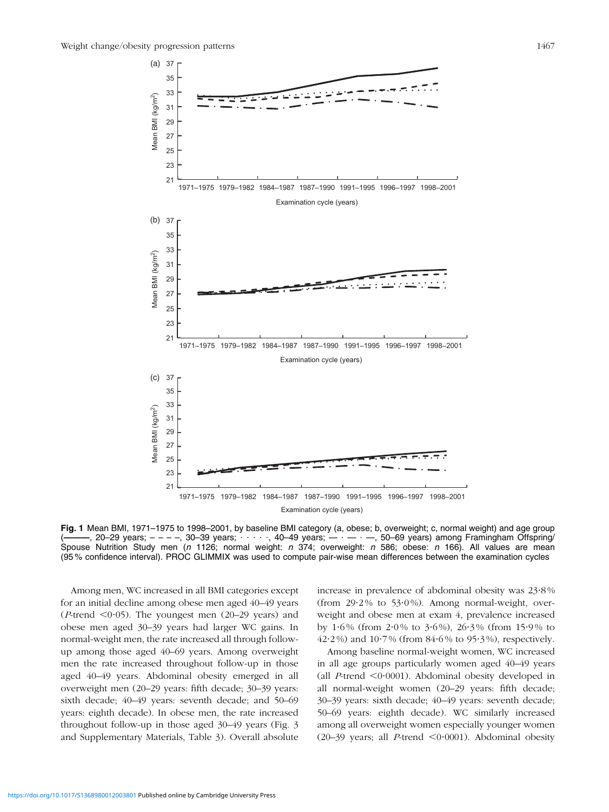<span id="page-4-0"></span>

Fig. 1 Mean BMI, 1971-1975 to 1998-2001, by baseline BMI category (a, obese; b, overweight; c, normal weight) and age group -, 20–29 years; – – – –, 30–39 years;  $\cdots$ , 40–49 years; —  $\cdots$ , 50–69 years) among Framingham Offspring/ Spouse Nutrition Study men (n 1126; normal weight: n 374; overweight: n 586; obese: n 166). All values are mean (95 % confidence interval). PROC GLIMMIX was used to compute pair-wise mean differences between the examination cycles

Among men, WC increased in all BMI categories except for an initial decline among obese men aged 40–49 years ( $P$ -trend <0.05). The youngest men (20–29 years) and obese men aged 30–39 years had larger WC gains. In normal-weight men, the rate increased all through followup among those aged 40–69 years. Among overweight men the rate increased throughout follow-up in those aged 40–49 years. Abdominal obesity emerged in all overweight men (20–29 years: fifth decade; 30–39 years: sixth decade; 40–49 years: seventh decade; and 50–69 years: eighth decade). In obese men, the rate increased throughout follow-up in those aged 30–49 years ([Fig. 3](#page-6-0) and Supplementary Materials, Table 3). Overall absolute increase in prevalence of abdominal obesity was 23?8 % (from  $29.2\%$  to  $53.0\%$ ). Among normal-weight, overweight and obese men at exam 4, prevalence increased by  $1.6\%$  (from  $2.0\%$  to  $3.6\%$ ),  $26.3\%$  (from  $15.9\%$  to 42.2%) and 10.7% (from  $84.6\%$  to  $95.3\%$ ), respectively.

Among baseline normal-weight women, WC increased in all age groups particularly women aged 40–49 years (all P-trend  $\leq 0.0001$ ). Abdominal obesity developed in all normal-weight women (20–29 years: fifth decade; 30–39 years: sixth decade; 40–49 years: seventh decade; 50–69 years: eighth decade). WC similarly increased among all overweight women especially younger women (20–39 years; all *P*-trend <0.0001). Abdominal obesity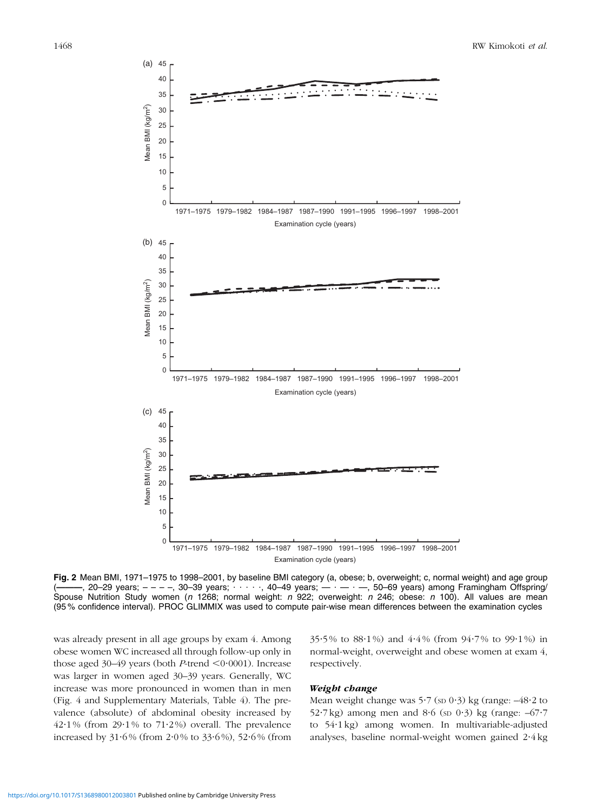<span id="page-5-0"></span>

Fig. 2 Mean BMI, 1971–1975 to 1998–2001, by baseline BMI category (a, obese; b, overweight; c, normal weight) and age group -, 20–29 years; – – – –, 30–39 years;  $\cdots$ , 40–49 years; —  $\cdots$ , 50–69 years) among Framingham Offspring/ Spouse Nutrition Study women (n 1268; normal weight: n 922; overweight: n 246; obese: n 100). All values are mean (95 % confidence interval). PROC GLIMMIX was used to compute pair-wise mean differences between the examination cycles

was already present in all age groups by exam 4. Among obese women WC increased all through follow-up only in those aged 30–49 years (both P-trend  $<0.0001$ ). Increase was larger in women aged 30–39 years. Generally, WC increase was more pronounced in women than in men ([Fig. 4](#page-7-0) and Supplementary Materials, Table 4). The prevalence (absolute) of abdominal obesity increased by  $42.1\%$  (from 29.1% to 71.2%) overall. The prevalence increased by  $31.6\%$  (from  $2.0\%$  to  $33.6\%$ ),  $52.6\%$  (from 35?5 % to 88?1 %) and 4?4 % (from 94?7 % to 99?1 %) in normal-weight, overweight and obese women at exam 4, respectively.

### Weight change

Mean weight change was  $5.7$  (sp  $0.3$ ) kg (range:  $-48.2$  to 52 $\cdot$ 7 kg) among men and 8 $\cdot$ 6 (sp 0 $\cdot$ 3) kg (range:  $-67\cdot$ 7 to 54.1 kg) among women. In multivariable-adjusted analyses, baseline normal-weight women gained 2.4 kg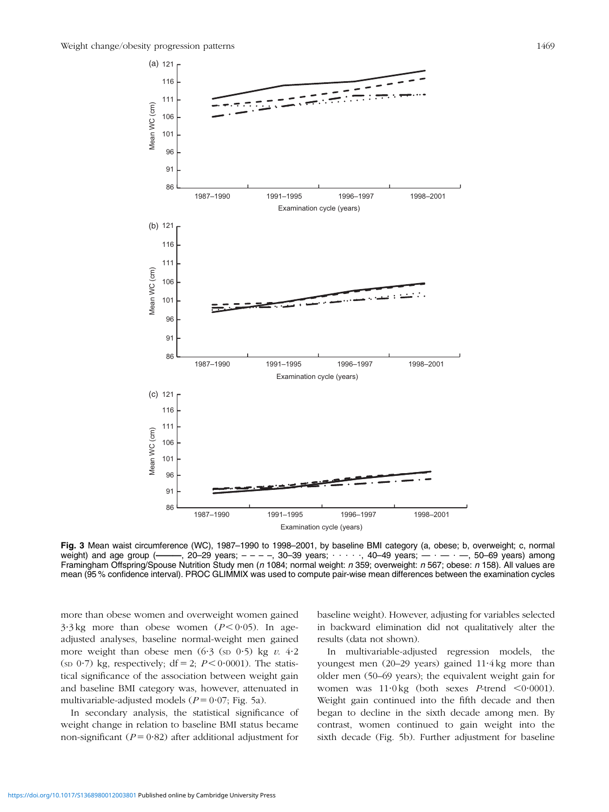<span id="page-6-0"></span>

**Fig. 3** Mean waist circumference (WC), 1987–1990 to 1998–2001, by baseline BMI category (a, obese; b, overweight; c, normal weight) and age group (-----, 20-29 years; - - -, 30-39 years;  $\cdots$ , 40-49 years;  $\cdots$ , 50-69 -, 20–29 years; – – –, 30–39 years;  $\cdots$ , 40–49 years; —  $\cdots$ , 50–69 years) among Framingham Offspring/Spouse Nutrition Study men (n 1084; normal weight: n 359; overweight: n 567; obese: n 158). All values are mean (95 % confidence interval). PROC GLIMMIX was used to compute pair-wise mean differences between the examination cycles

more than obese women and overweight women gained  $3.3 \text{ kg}$  more than obese women ( $P < 0.05$ ). In ageadjusted analyses, baseline normal-weight men gained more weight than obese men  $(6.3 \text{ (sn } 0.5) \text{ kg } v. 4.2)$ (sp 0.7) kg, respectively; df = 2;  $P < 0.0001$ ). The statistical significance of the association between weight gain and baseline BMI category was, however, attenuated in multivariable-adjusted models ( $P = 0.07$ ; [Fig. 5a\)](#page-8-0).

In secondary analysis, the statistical significance of weight change in relation to baseline BMI status became non-significant ( $P = 0.82$ ) after additional adjustment for baseline weight). However, adjusting for variables selected in backward elimination did not qualitatively alter the results (data not shown).

In multivariable-adjusted regression models, the youngest men  $(20-29 \text{ years})$  gained  $11.4 \text{ kg}$  more than older men (50–69 years); the equivalent weight gain for women was  $11.0 \text{ kg}$  (both sexes *P*-trend <0.0001). Weight gain continued into the fifth decade and then began to decline in the sixth decade among men. By contrast, women continued to gain weight into the sixth decade [\(Fig. 5b](#page-8-0)). Further adjustment for baseline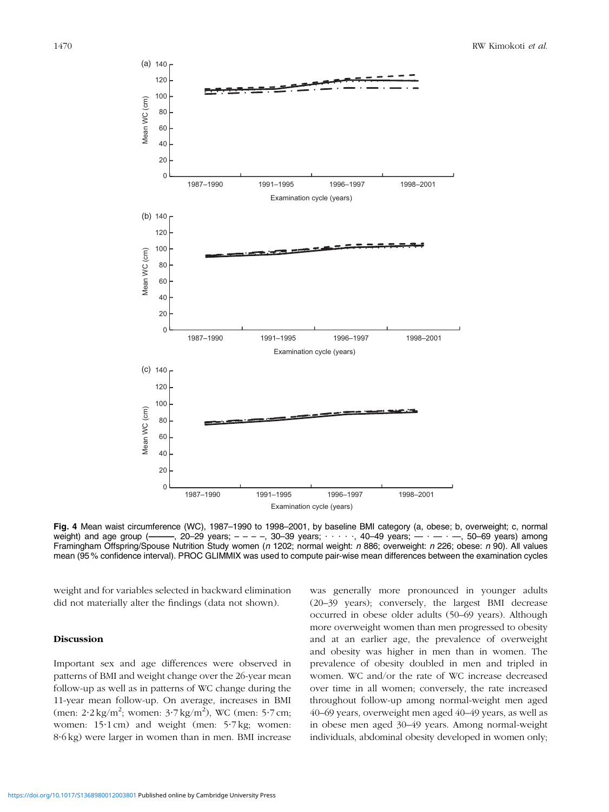<span id="page-7-0"></span>

Fig. 4 Mean waist circumference (WC), 1987–1990 to 1998–2001, by baseline BMI category (a, obese; b, overweight; c, normal weight) and age group (----, 20-29 years; - - -, 30-39 years;  $\cdots$ , 40-49 years;  $\cdots$ , 50-69 yea  $-$ , 20–29 years; – – – –, 30–39 years;  $\cdots$  , 40–49 years; —  $\cdots$  –, 50–69 years) among Framingham Offspring/Spouse Nutrition Study women (n 1202; normal weight: n 886; overweight: n 226; obese: n 90). All values mean (95 % confidence interval). PROC GLIMMIX was used to compute pair-wise mean differences between the examination cycles

weight and for variables selected in backward elimination did not materially alter the findings (data not shown).

## Discussion

Important sex and age differences were observed in patterns of BMI and weight change over the 26-year mean follow-up as well as in patterns of WC change during the 11-year mean follow-up. On average, increases in BMI (men:  $2.2 \text{ kg/m}^2$ ; women:  $3.7 \text{ kg/m}^2$ ), WC (men:  $5.7 \text{ cm}$ ; women: 15·1 cm) and weight (men: 5·7 kg; women: 8?6 kg) were larger in women than in men. BMI increase was generally more pronounced in younger adults (20–39 years); conversely, the largest BMI decrease occurred in obese older adults (50–69 years). Although more overweight women than men progressed to obesity and at an earlier age, the prevalence of overweight and obesity was higher in men than in women. The prevalence of obesity doubled in men and tripled in women. WC and/or the rate of WC increase decreased over time in all women; conversely, the rate increased throughout follow-up among normal-weight men aged 40–69 years, overweight men aged 40–49 years, as well as in obese men aged 30–49 years. Among normal-weight individuals, abdominal obesity developed in women only;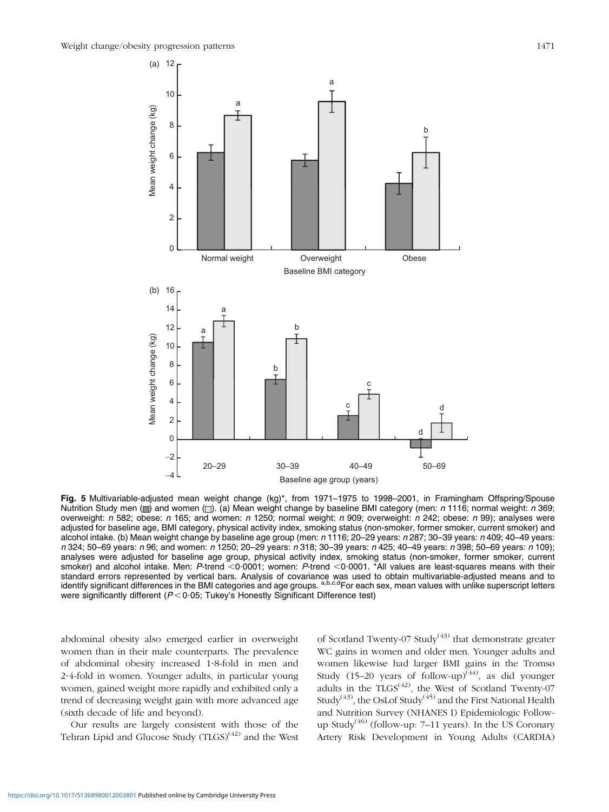<span id="page-8-0"></span>

Fig. 5 Multivariable-adjusted mean weight change (kg)\*, from 1971–1975 to 1998–2001, in Framingham Offspring/Spouse Nutrition Study men ( $\Box$ ) and women  $\Box$ ). (a) Mean weight change by baseline BMI category (men: n 1116; normal weight: n 369; overweight: n 582; obese: n 165; and women: n 1250; normal weight: n 909; overweight: n 242; obese: n 99); analyses were adjusted for baseline age, BMI category, physical activity index, smoking status (non-smoker, former smoker, current smoker) and alcohol intake. (b) Mean weight change by baseline age group (men: n 1116; 20–29 years: n 287; 30–39 years: n 409; 40–49 years: n 324; 50–69 years: n 96; and women: n 1250; 20–29 years: n 318; 30–39 years: n 425; 40–49 years: n 398; 50–69 years: n 109); analyses were adjusted for baseline age group, physical activity index, smoking status (non-smoker, former smoker, current smoker) and alcohol intake. Men: P-trend <0.0001; women: P-trend <0.0001. \*All values are least-squares means with their standard errors represented by vertical bars. Analysis of covariance was used to obtain multivariable-adjusted means and to identify significant differences in the BMI categories and age groups. <sup>a,b,c,d</sup>For each sex, mean values with unlike superscript letters were significantly different ( $P < 0.05$ ; Tukey's Honestly Significant Difference test)

abdominal obesity also emerged earlier in overweight women than in their male counterparts. The prevalence of abdominal obesity increased 1?8-fold in men and 2?4-fold in women. Younger adults, in particular young women, gained weight more rapidly and exhibited only a trend of decreasing weight gain with more advanced age (sixth decade of life and beyond).

Our results are largely consistent with those of the Tehran Lipid and Glucose Study  $(TLGS)^{(42)}$  $(TLGS)^{(42)}$  $(TLGS)^{(42)}$  and the West

of Scotland Twenty-07 Study<sup>[\(43\)](#page-11-0)</sup> that demonstrate greater WC gains in women and older men. Younger adults and women likewise had larger BMI gains in the Tromsø Study (15–20 years of follow-up) $\frac{644}{4}$ , as did younger adults in the  $TLGS^{(42)}$  $TLGS^{(42)}$  $TLGS^{(42)}$ , the West of Scotland Twenty-07 Study<sup>([43\)](#page-11-0)</sup>, the OsLof Study<sup>[\(45](#page-11-0))</sup> and the First National Health and Nutrition Survey (NHANES I) Epidemiologic Followup Study([46\)](#page-11-0) (follow-up: 7–11 years). In the US Coronary Artery Risk Development in Young Adults (CARDIA)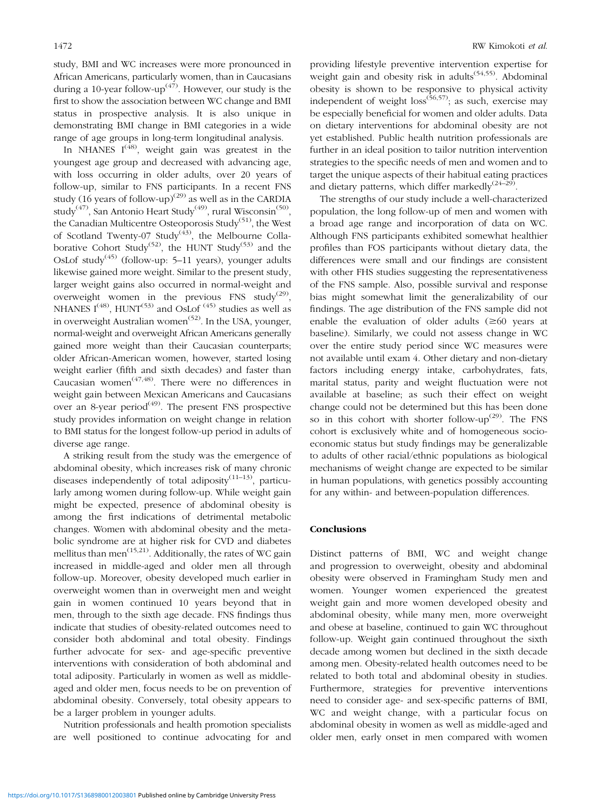study, BMI and WC increases were more pronounced in African Americans, particularly women, than in Caucasians during a 10-year follow-up<sup> $(47)$  $(47)$ </sup>. However, our study is the first to show the association between WC change and BMI status in prospective analysis. It is also unique in demonstrating BMI change in BMI categories in a wide range of age groups in long-term longitudinal analysis.

In NHANES  $I^{(48)}$  $I^{(48)}$  $I^{(48)}$ , weight gain was greatest in the youngest age group and decreased with advancing age, with loss occurring in older adults, over 20 years of follow-up, similar to FNS participants. In a recent FNS study (16 years of follow-up)<sup>[\(29](#page-11-0))</sup> as well as in the CARDIA study<sup>([47\)](#page-11-0)</sup>, San Antonio Heart Study<sup>([49](#page-11-0))</sup>, rural Wisconsin<sup>([50\)](#page-11-0)</sup>, the Canadian Multicentre Osteoporosis Study<sup>[\(51](#page-11-0))</sup>, the West of Scotland Twenty-07 Study<sup>( $43$ )</sup>, the Melbourne Colla-borative Cohort Study<sup>([52\)](#page-11-0)</sup>, the HUNT Study<sup>([53\)](#page-11-0)</sup> and the OsLof study<sup>([45\)](#page-11-0)</sup> (follow-up: 5–11 years), younger adults likewise gained more weight. Similar to the present study, larger weight gains also occurred in normal-weight and overweight women in the previous FNS study<sup>([29\)](#page-11-0)</sup>, NHANES  $I^{(48)}$  $I^{(48)}$  $I^{(48)}$ , HUNT<sup>([53\)](#page-11-0)</sup> and OsLof<sup>[\(45](#page-11-0))</sup> studies as well as in overweight Australian women<sup> $(52)$  $(52)$ </sup>. In the USA, younger, normal-weight and overweight African Americans generally gained more weight than their Caucasian counterparts; older African-American women, however, started losing weight earlier (fifth and sixth decades) and faster than Caucasian women<sup> $(47,48)$ </sup>. There were no differences in weight gain between Mexican Americans and Caucasians over an 8-year period<sup> $(49)$  $(49)$ </sup>. The present FNS prospective study provides information on weight change in relation to BMI status for the longest follow-up period in adults of diverse age range.

A striking result from the study was the emergence of abdominal obesity, which increases risk of many chronic diseases independently of total adiposity $(11-13)$ , particularly among women during follow-up. While weight gain might be expected, presence of abdominal obesity is among the first indications of detrimental metabolic changes. Women with abdominal obesity and the metabolic syndrome are at higher risk for CVD and diabetes mellitus than men $^{(15,21)}$  $^{(15,21)}$  $^{(15,21)}$  $^{(15,21)}$  $^{(15,21)}$ . Additionally, the rates of WC gain increased in middle-aged and older men all through follow-up. Moreover, obesity developed much earlier in overweight women than in overweight men and weight gain in women continued 10 years beyond that in men, through to the sixth age decade. FNS findings thus indicate that studies of obesity-related outcomes need to consider both abdominal and total obesity. Findings further advocate for sex- and age-specific preventive interventions with consideration of both abdominal and total adiposity. Particularly in women as well as middleaged and older men, focus needs to be on prevention of abdominal obesity. Conversely, total obesity appears to be a larger problem in younger adults.

Nutrition professionals and health promotion specialists are well positioned to continue advocating for and

providing lifestyle preventive intervention expertise for weight gain and obesity risk in adults<sup> $(54,55)$  $(54,55)$  $(54,55)$  $(54,55)$  $(54,55)$ </sup>. Abdominal obesity is shown to be responsive to physical activity independent of weight  $loss^{(56,57)}$  $loss^{(56,57)}$  $loss^{(56,57)}$ ; as such, exercise may be especially beneficial for women and older adults. Data on dietary interventions for abdominal obesity are not yet established. Public health nutrition professionals are further in an ideal position to tailor nutrition intervention strategies to the specific needs of men and women and to target the unique aspects of their habitual eating practices and dietary patterns, which differ markedly<sup> $(24-29)$  $(24-29)$  $(24-29)$ </sup>.

The strengths of our study include a well-characterized population, the long follow-up of men and women with a broad age range and incorporation of data on WC. Although FNS participants exhibited somewhat healthier profiles than FOS participants without dietary data, the differences were small and our findings are consistent with other FHS studies suggesting the representativeness of the FNS sample. Also, possible survival and response bias might somewhat limit the generalizability of our findings. The age distribution of the FNS sample did not enable the evaluation of older adults  $(\geq 60$  years at baseline). Similarly, we could not assess change in WC over the entire study period since WC measures were not available until exam 4. Other dietary and non-dietary factors including energy intake, carbohydrates, fats, marital status, parity and weight fluctuation were not available at baseline; as such their effect on weight change could not be determined but this has been done so in this cohort with shorter follow-up<sup> $(29)$  $(29)$ </sup>. The FNS cohort is exclusively white and of homogeneous socioeconomic status but study findings may be generalizable to adults of other racial/ethnic populations as biological mechanisms of weight change are expected to be similar in human populations, with genetics possibly accounting for any within- and between-population differences.

# **Conclusions**

Distinct patterns of BMI, WC and weight change and progression to overweight, obesity and abdominal obesity were observed in Framingham Study men and women. Younger women experienced the greatest weight gain and more women developed obesity and abdominal obesity, while many men, more overweight and obese at baseline, continued to gain WC throughout follow-up. Weight gain continued throughout the sixth decade among women but declined in the sixth decade among men. Obesity-related health outcomes need to be related to both total and abdominal obesity in studies. Furthermore, strategies for preventive interventions need to consider age- and sex-specific patterns of BMI, WC and weight change, with a particular focus on abdominal obesity in women as well as middle-aged and older men, early onset in men compared with women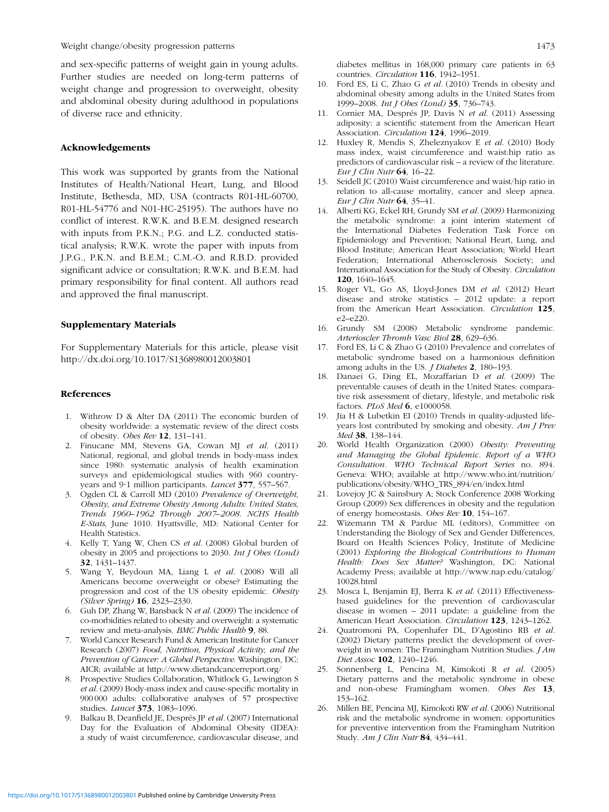<span id="page-10-0"></span>Weight change/obesity progression patterns 1473

and sex-specific patterns of weight gain in young adults. Further studies are needed on long-term patterns of weight change and progression to overweight, obesity and abdominal obesity during adulthood in populations of diverse race and ethnicity.

#### Acknowledgements

This work was supported by grants from the National Institutes of Health/National Heart, Lung, and Blood Institute, Bethesda, MD, USA (contracts R01-HL-60700, R01-HL-54776 and N01-HC-25195). The authors have no conflict of interest. R.W.K. and B.E.M. designed research with inputs from P.K.N.; P.G. and L.Z. conducted statistical analysis; R.W.K. wrote the paper with inputs from J.P.G., P.K.N. and B.E.M.; C.M.-O. and R.B.D. provided significant advice or consultation; R.W.K. and B.E.M. had primary responsibility for final content. All authors read and approved the final manuscript.

#### Supplementary Materials

For Supplementary Materials for this article, please visit http://dx.doi.org/10.1017/S1368980012003801

#### References

- 1. Withrow D & Alter DA (2011) The economic burden of obesity worldwide: a systematic review of the direct costs of obesity. Obes Rev 12, 131–141.
- 2. Finucane MM, Stevens GA, Cowan MJ et al. (2011) National, regional, and global trends in body-mass index since 1980: systematic analysis of health examination surveys and epidemiological studies with 960 countryyears and 9.1 million participants. Lancet 377, 557-567.
- 3. Ogden CL & Carroll MD (2010) Prevalence of Overweight, Obesity, and Extreme Obesity Among Adults: United States, Trends 1960–1962 Through 2007–2008. NCHS Health E-Stats, June 1010. Hyattsville, MD: National Center for Health Statistics.
- 4. Kelly T, Yang W, Chen CS et al. (2008) Global burden of obesity in 2005 and projections to 2030. Int J Obes (Lond) 32, 1431–1437.
- 5. Wang Y, Beydoun MA, Liang L et al. (2008) Will all Americans become overweight or obese? Estimating the progression and cost of the US obesity epidemic. Obesity (Silver Spring) 16, 2323–2330.
- 6. Guh DP, Zhang W, Bansback N et al. (2009) The incidence of co-morbidities related to obesity and overweight: a systematic review and meta-analysis. BMC Public Health 9, 88.
- 7. World Cancer Research Fund & American Institute for Cancer Research (2007) Food, Nutrition, Physical Activity, and the Prevention of Cancer: A Global Perspective. Washington, DC: AICR; available at http://www.dietandcancerreport.org/
- 8. Prospective Studies Collaboration, Whitlock G, Lewington S et al. (2009) Body-mass index and cause-specific mortality in 900000 adults: collaborative analyses of 57 prospective studies. Lancet 373, 1083–1096.
- 9. Balkau B, Deanfield JE, Després JP et al. (2007) International Day for the Evaluation of Abdominal Obesity (IDEA): a study of waist circumference, cardiovascular disease, and

diabetes mellitus in 168,000 primary care patients in 63 countries. Circulation 116, 1942-1951.

- Ford ES, Li C, Zhao G et al. (2010) Trends in obesity and abdominal obesity among adults in the United States from 1999–2008. Int J Obes (Lond) 35, 736–743.
- 11. Cornier MA, Després JP, Davis N et al. (2011) Assessing adiposity: a scientific statement from the American Heart Association. Circulation 124, 1996–2019.
- 12. Huxley R, Mendis S, Zheleznyakov E et al. (2010) Body mass index, waist circumference and waist:hip ratio as predictors of cardiovascular risk – a review of the literature. Eur J Clin Nutr  $64$ , 16-22.
- 13. Seidell JC (2010) Waist circumference and waist/hip ratio in relation to all-cause mortality, cancer and sleep apnea. Eur J Clin Nutr  $64$ , 35-41.
- Alberti KG, Eckel RH, Grundy SM et al. (2009) Harmonizing the metabolic syndrome: a joint interim statement of the International Diabetes Federation Task Force on Epidemiology and Prevention; National Heart, Lung, and Blood Institute; American Heart Association; World Heart Federation; International Atherosclerosis Society; and International Association for the Study of Obesity. Circulation 120, 1640–1645.
- 15. Roger VL, Go AS, Lloyd-Jones DM et al. (2012) Heart disease and stroke statistics – 2012 update: a report from the American Heart Association. *Circulation* 125, e2–e220.
- 16. Grundy SM (2008) Metabolic syndrome pandemic. Arterioscler Thromb Vasc Biol 28, 629–636.
- 17. Ford ES, Li C & Zhao G (2010) Prevalence and correlates of metabolic syndrome based on a harmonious definition among adults in the US. *J Diabetes* 2, 180-193.
- 18. Danaei G, Ding EL, Mozaffarian D et al. (2009) The preventable causes of death in the United States: comparative risk assessment of dietary, lifestyle, and metabolic risk factors. PLoS Med 6, e1000058.
- 19. Jia H & Lubetkin EI (2010) Trends in quality-adjusted lifeyears lost contributed by smoking and obesity. Am J Prev Med 38, 138-144.
- 20. World Health Organization (2000) Obesity: Preventing and Managing the Global Epidemic. Report of a WHO Consultation. WHO Technical Report Series no. 894. Geneva: WHO; available at http://www.who.int/nutrition/ publications/obesity/WHO\_TRS\_894/en/index.html
- 21. Lovejoy JC & Sainsbury A; Stock Conference 2008 Working Group (2009) Sex differences in obesity and the regulation of energy homeostasis. Obes Rev 10, 154–167.
- 22. Wizemann TM & Pardue ML (editors), Committee on Understanding the Biology of Sex and Gender Differences, Board on Health Sciences Policy, Institute of Medicine (2001) Exploring the Biological Contributions to Human Health: Does Sex Matter? Washington, DC: National Academy Press; available at http://www.nap.edu/catalog/ 10028.html
- 23. Mosca L, Benjamin EJ, Berra K et al. (2011) Effectivenessbased guidelines for the prevention of cardiovascular disease in women – 2011 update: a guideline from the American Heart Association. Circulation 123, 1243–1262.
- 24. Quatromoni PA, Copenhafer DL, D'Agostino RB et al. (2002) Dietary patterns predict the development of overweight in women: The Framingham Nutrition Studies. J Am Diet Assoc **102**, 1240-1246.
- 25. Sonnenberg L, Pencina M, Kimokoti R et al. (2005) Dietary patterns and the metabolic syndrome in obese and non-obese Framingham women. Obes Res 13, 153–162.
- 26. Millen BE, Pencina MJ, Kimokoti RW et al. (2006) Nutritional risk and the metabolic syndrome in women: opportunities for preventive intervention from the Framingham Nutrition Study. Am J Clin Nutr 84, 434–441.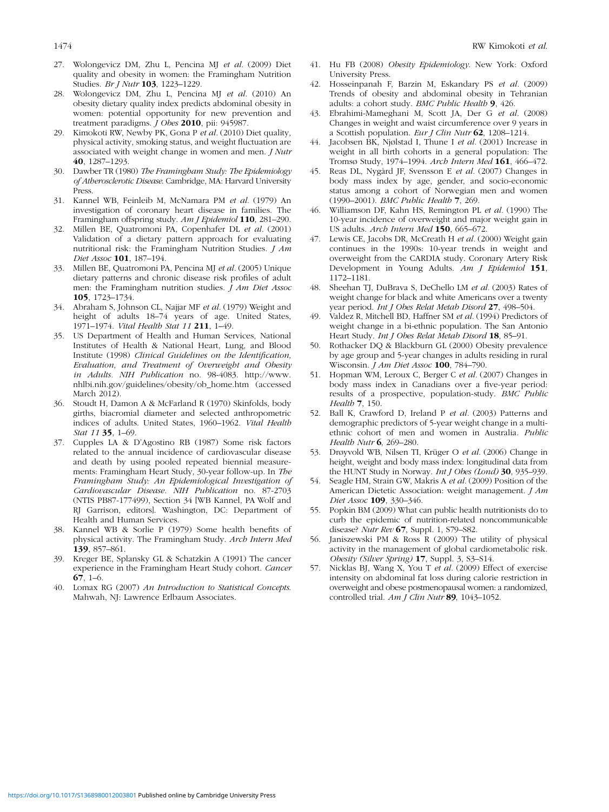- <span id="page-11-0"></span>27. Wolongevicz DM, Zhu L, Pencina MJ et al. (2009) Diet quality and obesity in women: the Framingham Nutrition Studies. Br J Nutr 103, 1223–1229.
- 28. Wolongevicz DM, Zhu L, Pencina MJ et al. (2010) An obesity dietary quality index predicts abdominal obesity in women: potential opportunity for new prevention and treatment paradigms. J Obes 2010, pii: 945987.
- 29. Kimokoti RW, Newby PK, Gona P et al. (2010) Diet quality, physical activity, smoking status, and weight fluctuation are associated with weight change in women and men. J Nutr 40, 1287–1293.
- 30. Dawber TR (1980) The Framingham Study: The Epidemiology of Atherosclerotic Disease. Cambridge, MA: Harvard University Press.
- 31. Kannel WB, Feinleib M, McNamara PM et al. (1979) An investigation of coronary heart disease in families. The Framingham offspring study. Am J Epidemiol 110, 281–290.
- 32. Millen BE, Quatromoni PA, Copenhafer DL et al. (2001) Validation of a dietary pattern approach for evaluating nutritional risk: the Framingham Nutrition Studies. J Am Diet Assoc **101**, 187-194.
- 33. Millen BE, Quatromoni PA, Pencina MJ et al. (2005) Unique dietary patterns and chronic disease risk profiles of adult men: the Framingham nutrition studies. J Am Diet Assoc 105, 1723–1734.
- 34. Abraham S, Johnson CL, Najjar MF et al. (1979) Weight and height of adults 18–74 years of age. United States, 1971–1974. Vital Health Stat 11 211, 1–49.
- 35. US Department of Health and Human Services, National Institutes of Health & National Heart, Lung, and Blood Institute (1998) Clinical Guidelines on the Identification, Evaluation, and Treatment of Overweight and Obesity in Adults. NIH Publication no. 98-4083. http://www. nhlbi.nih.gov/guidelines/obesity/ob\_home.htm (accessed March 2012).
- 36. Stoudt H, Damon A & McFarland R (1970) Skinfolds, body girths, biacromial diameter and selected anthropometric indices of adults. United States, 1960–1962. Vital Health Stat 11 35, 1-69.
- 37. Cupples LA & D'Agostino RB (1987) Some risk factors related to the annual incidence of cardiovascular disease and death by using pooled repeated biennial measurements: Framingham Heart Study, 30-year follow-up. In The Framingham Study: An Epidemiological Investigation of Cardiovascular Disease. NIH Publication no. 87-2703 (NTIS PB87-177499), Section 34 [WB Kannel, PA Wolf and RJ Garrison, editors]. Washington, DC: Department of Health and Human Services.
- 38. Kannel WB & Sorlie P (1979) Some health benefits of physical activity. The Framingham Study. Arch Intern Med 139, 857–861.
- 39. Kreger BE, Splansky GL & Schatzkin A (1991) The cancer experience in the Framingham Heart Study cohort. Cancer 67, 1–6.
- 40. Lomax RG (2007) An Introduction to Statistical Concepts. Mahwah, NJ: Lawrence Erlbaum Associates.
- 41. Hu FB (2008) Obesity Epidemiology. New York: Oxford University Press.
- 42. Hosseinpanah F, Barzin M, Eskandary PS et al. (2009) Trends of obesity and abdominal obesity in Tehranian adults: a cohort study. BMC Public Health 9, 426.
- 43. Ebrahimi-Mameghani M, Scott JA, Der G et al. (2008) Changes in weight and waist circumference over 9 years in a Scottish population. Eur J Clin Nutr 62, 1208–1214.
- 44. Jacobsen BK, Njølstad I, Thune I et al. (2001) Increase in weight in all birth cohorts in a general population: The Tromsø Study, 1974–1994. Arch Intern Med 161, 466–472.
- 45. Reas DL, Nygård JF, Svensson E et al. (2007) Changes in body mass index by age, gender, and socio-economic status among a cohort of Norwegian men and women (1990–2001). BMC Public Health 7, 269.
- Williamson DF, Kahn HS, Remington PL et al. (1990) The 10-year incidence of overweight and major weight gain in US adults. Arch Intern Med 150, 665-672.
- 47. Lewis CE, Jacobs DR, McCreath H et al. (2000) Weight gain continues in the 1990s: 10-year trends in weight and overweight from the CARDIA study. Coronary Artery Risk Development in Young Adults. Am J Epidemiol 151, 1172–1181.
- 48. Sheehan TJ, DuBrava S, DeChello LM et al. (2003) Rates of weight change for black and white Americans over a twenty year period. Int J Obes Relat Metab Disord 27, 498–504.
- 49. Valdez R, Mitchell BD, Haffner SM et al. (1994) Predictors of weight change in a bi-ethnic population. The San Antonio Heart Study. Int J Obes Relat Metab Disord 18, 85-91.
- 50. Rothacker DQ & Blackburn GL (2000) Obesity prevalence by age group and 5-year changes in adults residing in rural Wisconsin. *J Am Diet Assoc* 100, 784-790.
- 51. Hopman WM, Leroux C, Berger C et al. (2007) Changes in body mass index in Canadians over a five-year period: results of a prospective, population-study. BMC Public Health 7, 150.
- 52. Ball K, Crawford D, Ireland P et al. (2003) Patterns and demographic predictors of 5-year weight change in a multiethnic cohort of men and women in Australia. Public Health Nutr **6**, 269-280.
- 53. Drøyvold WB, Nilsen TI, Krüger O et al. (2006) Change in height, weight and body mass index: longitudinal data from the HUNT Study in Norway. Int J Obes (Lond) 30, 935-939.
- 54. Seagle HM, Strain GW, Makris A et al. (2009) Position of the American Dietetic Association: weight management. J Am Diet Assoc 109, 330-346.
- 55. Popkin BM (2009) What can public health nutritionists do to curb the epidemic of nutrition-related noncommunicable disease? Nutr Rev 67, Suppl. 1, S79–S82.
- 56. Janiszewski PM & Ross R (2009) The utility of physical activity in the management of global cardiometabolic risk. Obesity (Silver Spring) 17, Suppl. 3, S3–S14.
- 57. Nicklas BJ, Wang X, You T et al. (2009) Effect of exercise intensity on abdominal fat loss during calorie restriction in overweight and obese postmenopausal women: a randomized, controlled trial. Am J Clin Nutr 89, 1043-1052.